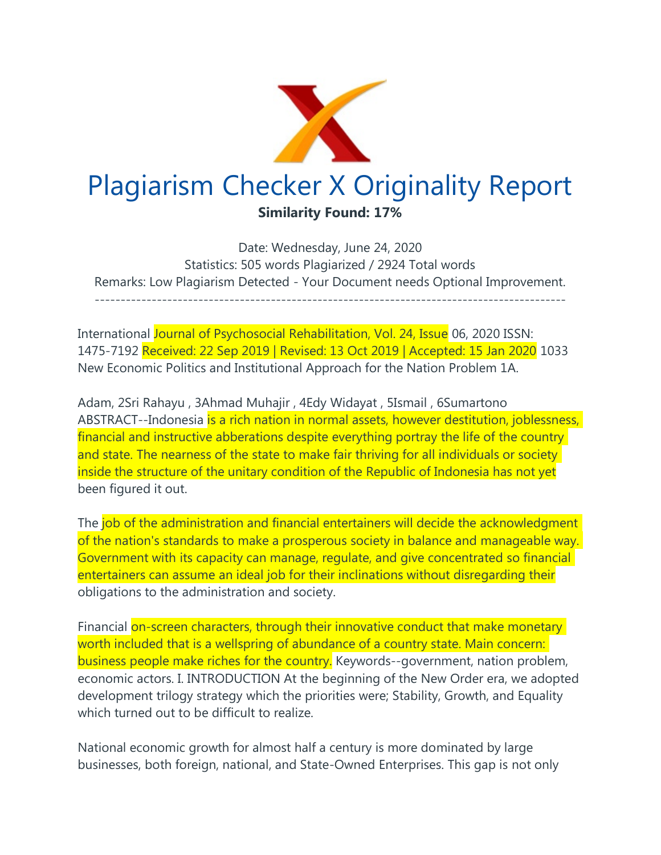

Date: Wednesday, June 24, 2020 Statistics: 505 words Plagiarized / 2924 Total words Remarks: Low Plagiarism Detected - Your Document needs Optional Improvement. -------------------------------------------------------------------------------------------

International Journal of Psychosocial Rehabilitation, Vol. 24, Issue 06, 2020 ISSN: 1475-7192 Received: 22 Sep 2019 | Revised: 13 Oct 2019 | Accepted: 15 Jan 2020 1033 New Economic Politics and Institutional Approach for the Nation Problem 1A.

Adam, 2Sri Rahayu , 3Ahmad Muhajir , 4Edy Widayat , 5Ismail , 6Sumartono ABSTRACT--Indonesia is a rich nation in normal assets, however destitution, joblessness, financial and instructive abberations despite everything portray the life of the country and state. The nearness of the state to make fair thriving for all individuals or society inside the structure of the unitary condition of the Republic of Indonesia has not yet been figured it out.

The job of the administration and financial entertainers will decide the acknowledgment of the nation's standards to make a prosperous society in balance and manageable way. Government with its capacity can manage, regulate, and give concentrated so financial entertainers can assume an ideal job for their inclinations without disregarding their obligations to the administration and society.

Financial on-screen characters, through their innovative conduct that make monetary worth included that is a wellspring of abundance of a country state. Main concern: business people make riches for the country. Keywords--government, nation problem, economic actors. I. INTRODUCTION At the beginning of the New Order era, we adopted development trilogy strategy which the priorities were; Stability, Growth, and Equality which turned out to be difficult to realize.

National economic growth for almost half a century is more dominated by large businesses, both foreign, national, and State-Owned Enterprises. This gap is not only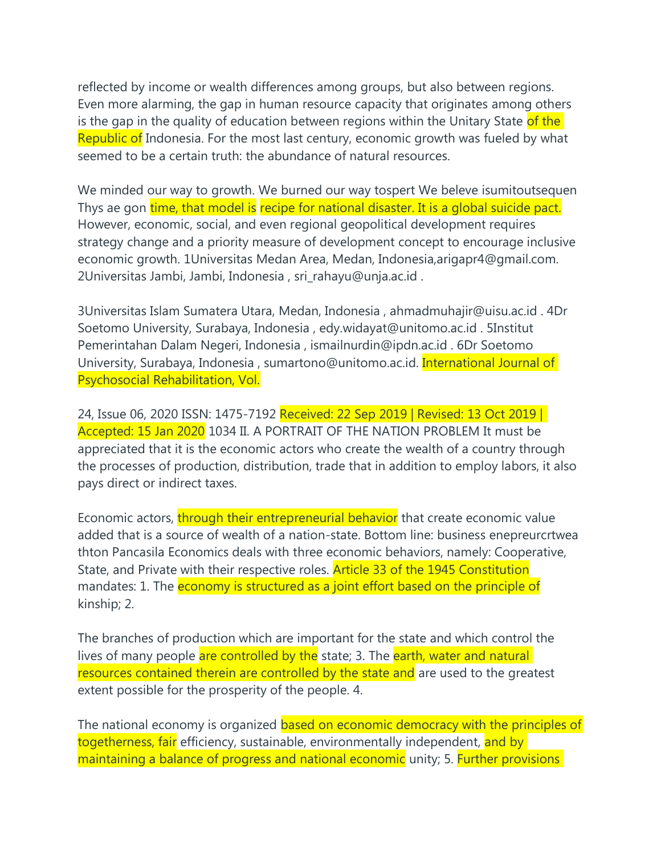reflected by income or wealth differences among groups, but also between regions. Even more alarming, the gap in human resource capacity that originates among others is the gap in the quality of education between regions within the Unitary State of the Republic of Indonesia. For the most last century, economic growth was fueled by what seemed to be a certain truth: the abundance of natural resources.

We minded our way to growth. We burned our way tospert We beleve isumitoutsequen Thys ae gon time, that model is recipe for national disaster. It is a global suicide pact. However, economic, social, and even regional geopolitical development requires strategy change and a priority measure of development concept to encourage inclusive economic growth. 1Universitas Medan Area, Medan, Indonesia,arigapr4@gmail.com. 2Universitas Jambi, Jambi, Indonesia , sri\_rahayu@unja.ac.id .

3Universitas Islam Sumatera Utara, Medan, Indonesia , ahmadmuhajir@uisu.ac.id . 4Dr Soetomo University, Surabaya, Indonesia , edy.widayat@unitomo.ac.id . 5Institut Pemerintahan Dalam Negeri, Indonesia , ismailnurdin@ipdn.ac.id . 6Dr Soetomo University, Surabaya, Indonesia , sumartono@unitomo.ac.id. International Journal of Psychosocial Rehabilitation, Vol.

24, Issue 06, 2020 ISSN: 1475-7192 Received: 22 Sep 2019 | Revised: 13 Oct 2019 | Accepted: 15 Jan 2020 1034 II. A PORTRAIT OF THE NATION PROBLEM It must be appreciated that it is the economic actors who create the wealth of a country through the processes of production, distribution, trade that in addition to employ labors, it also pays direct or indirect taxes.

Economic actors, through their entrepreneurial behavior that create economic value added that is a source of wealth of a nation-state. Bottom line: business enepreurcrtwea thton Pancasila Economics deals with three economic behaviors, namely: Cooperative, State, and Private with their respective roles. **Article 33 of the 1945 Constitution** mandates: 1. The economy is structured as a joint effort based on the principle of kinship; 2.

The branches of production which are important for the state and which control the lives of many people are controlled by the state; 3. The earth, water and natural resources contained therein are controlled by the state and are used to the greatest extent possible for the prosperity of the people. 4.

The national economy is organized based on economic democracy with the principles of togetherness, fair efficiency, sustainable, environmentally independent, and by maintaining a balance of progress and national economic unity; 5. Further provisions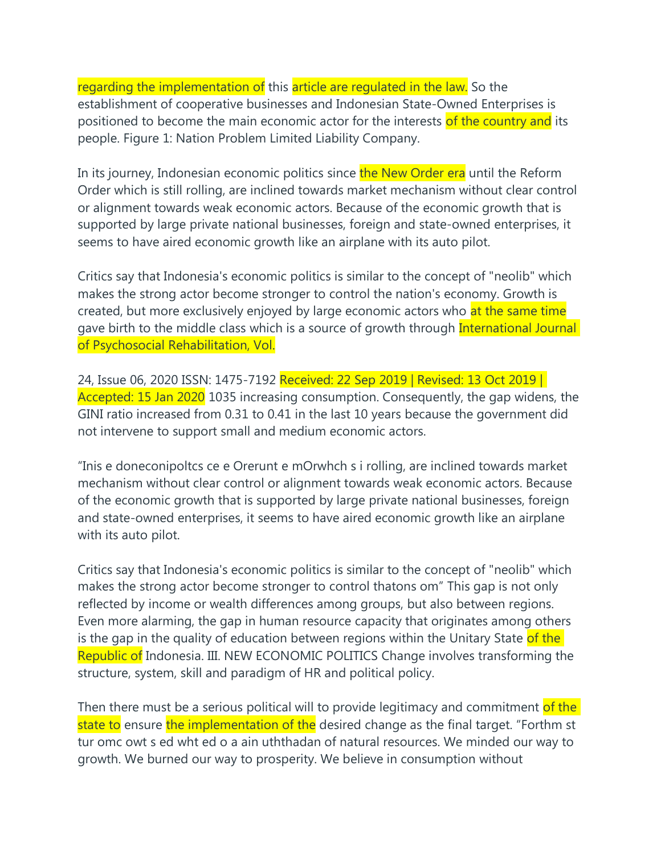regarding the implementation of this article are regulated in the law. So the establishment of cooperative businesses and Indonesian State-Owned Enterprises is positioned to become the main economic actor for the interests of the country and its people. Figure 1: Nation Problem Limited Liability Company.

In its journey, Indonesian economic politics since the New Order era until the Reform Order which is still rolling, are inclined towards market mechanism without clear control or alignment towards weak economic actors. Because of the economic growth that is supported by large private national businesses, foreign and state-owned enterprises, it seems to have aired economic growth like an airplane with its auto pilot.

Critics say that Indonesia's economic politics is similar to the concept of "neolib" which makes the strong actor become stronger to control the nation's economy. Growth is created, but more exclusively enjoyed by large economic actors who at the same time gave birth to the middle class which is a source of growth through International Journal of Psychosocial Rehabilitation, Vol.

24, Issue 06, 2020 ISSN: 1475-7192 Received: 22 Sep 2019 | Revised: 13 Oct 2019 | Accepted: 15 Jan 2020 1035 increasing consumption. Consequently, the gap widens, the GINI ratio increased from 0.31 to 0.41 in the last 10 years because the government did not intervene to support small and medium economic actors.

"Inis e doneconipoltcs ce e Orerunt e mOrwhch s i rolling, are inclined towards market mechanism without clear control or alignment towards weak economic actors. Because of the economic growth that is supported by large private national businesses, foreign and state-owned enterprises, it seems to have aired economic growth like an airplane with its auto pilot.

Critics say that Indonesia's economic politics is similar to the concept of "neolib" which makes the strong actor become stronger to control thatons om" This gap is not only reflected by income or wealth differences among groups, but also between regions. Even more alarming, the gap in human resource capacity that originates among others is the gap in the quality of education between regions within the Unitary State of the Republic of Indonesia. III. NEW ECONOMIC POLITICS Change involves transforming the structure, system, skill and paradigm of HR and political policy.

Then there must be a serious political will to provide legitimacy and commitment of the state to ensure the implementation of the desired change as the final target. "Forthm st tur omc owt s ed wht ed o a ain uththadan of natural resources. We minded our way to growth. We burned our way to prosperity. We believe in consumption without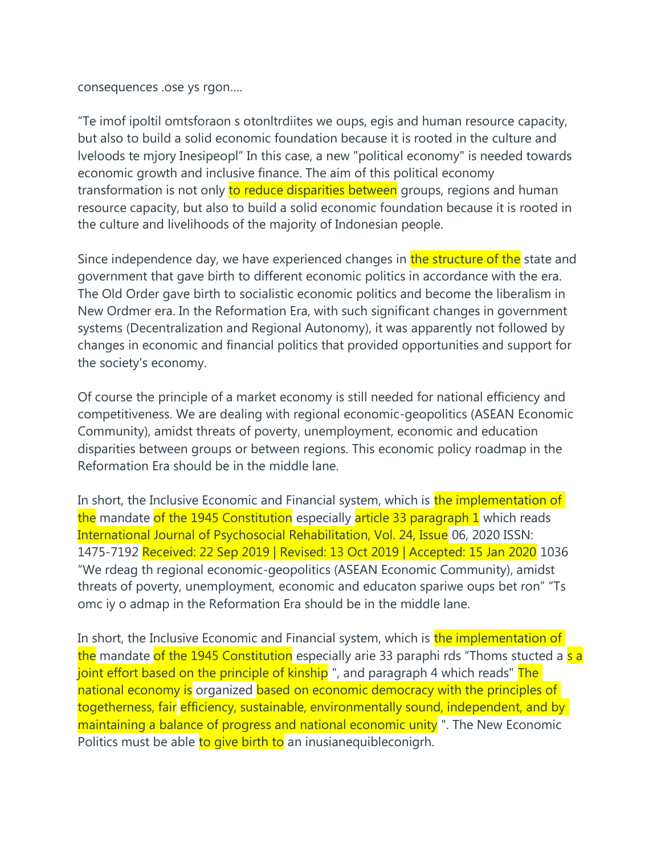consequences .ose ys rgon....

"Te imof ipoltil omtsforaon s otonltrdiites we oups, egis and human resource capacity, but also to build a solid economic foundation because it is rooted in the culture and Iveloods te mjory Inesipeopl" In this case, a new "political economy" is needed towards economic growth and inclusive finance. The aim of this political economy transformation is not only to reduce disparities between groups, regions and human resource capacity, but also to build a solid economic foundation because it is rooted in the culture and livelihoods of the majority of Indonesian people.

Since independence day, we have experienced changes in the structure of the state and government that gave birth to different economic politics in accordance with the era. The Old Order gave birth to socialistic economic politics and become the liberalism in New Ordmer era. In the Reformation Era, with such significant changes in government systems (Decentralization and Regional Autonomy), it was apparently not followed by changes in economic and financial politics that provided opportunities and support for the society's economy.

Of course the principle of a market economy is still needed for national efficiency and competitiveness. We are dealing with regional economic-geopolitics (ASEAN Economic Community), amidst threats of poverty, unemployment, economic and education disparities between groups or between regions. This economic policy roadmap in the Reformation Era should be in the middle lane.

In short, the Inclusive Economic and Financial system, which is the implementation of the mandate of the 1945 Constitution especially article 33 paragraph 1 which reads International Journal of Psychosocial Rehabilitation, Vol. 24, Issue 06, 2020 ISSN: 1475-7192 Received: 22 Sep 2019 | Revised: 13 Oct 2019 | Accepted: 15 Jan 2020 1036 "We rdeag th regional economic-geopolitics (ASEAN Economic Community), amidst threats of poverty, unemployment, economic and educaton spariwe oups bet ron" "Ts omc iy o admap in the Reformation Era should be in the middle lane.

In short, the Inclusive Economic and Financial system, which is the implementation of the mandate of the 1945 Constitution especially arie 33 paraphi rds "Thoms stucted a s a joint effort based on the principle of kinship ", and paragraph 4 which reads" The national economy is organized based on economic democracy with the principles of togetherness, fair efficiency, sustainable, environmentally sound, independent, and by maintaining a balance of progress and national economic unity ". The New Economic Politics must be able to give birth to an inusianequible conigrh.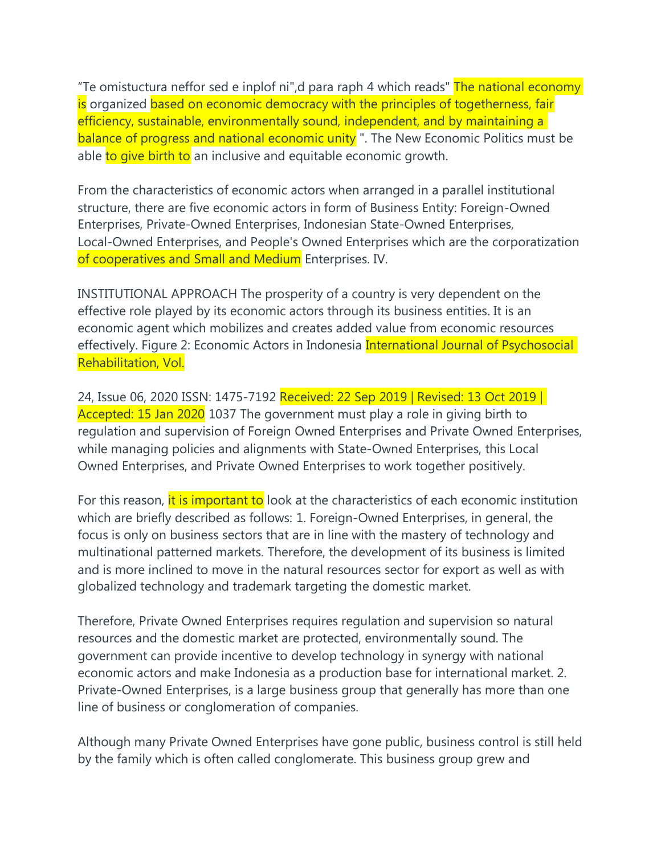"Te omistuctura neffor sed e inplof ni",d para raph 4 which reads" The national economy is organized based on economic democracy with the principles of togetherness, fair efficiency, sustainable, environmentally sound, independent, and by maintaining a balance of progress and national economic unity ". The New Economic Politics must be able to give birth to an inclusive and equitable economic growth.

From the characteristics of economic actors when arranged in a parallel institutional structure, there are five economic actors in form of Business Entity: Foreign-Owned Enterprises, Private-Owned Enterprises, Indonesian State-Owned Enterprises, Local-Owned Enterprises, and People's Owned Enterprises which are the corporatization of cooperatives and Small and Medium Enterprises. IV.

INSTITUTIONAL APPROACH The prosperity of a country is very dependent on the effective role played by its economic actors through its business entities. It is an economic agent which mobilizes and creates added value from economic resources effectively. Figure 2: Economic Actors in Indonesia *International Journal of Psychosocial* Rehabilitation, Vol.

24, Issue 06, 2020 ISSN: 1475-7192 Received: 22 Sep 2019 | Revised: 13 Oct 2019 | Accepted: 15 Jan 2020 1037 The government must play a role in giving birth to regulation and supervision of Foreign Owned Enterprises and Private Owned Enterprises, while managing policies and alignments with State-Owned Enterprises, this Local Owned Enterprises, and Private Owned Enterprises to work together positively.

For this reason, it is important to look at the characteristics of each economic institution which are briefly described as follows: 1. Foreign-Owned Enterprises, in general, the focus is only on business sectors that are in line with the mastery of technology and multinational patterned markets. Therefore, the development of its business is limited and is more inclined to move in the natural resources sector for export as well as with globalized technology and trademark targeting the domestic market.

Therefore, Private Owned Enterprises requires regulation and supervision so natural resources and the domestic market are protected, environmentally sound. The government can provide incentive to develop technology in synergy with national economic actors and make Indonesia as a production base for international market. 2. Private-Owned Enterprises, is a large business group that generally has more than one line of business or conglomeration of companies.

Although many Private Owned Enterprises have gone public, business control is still held by the family which is often called conglomerate. This business group grew and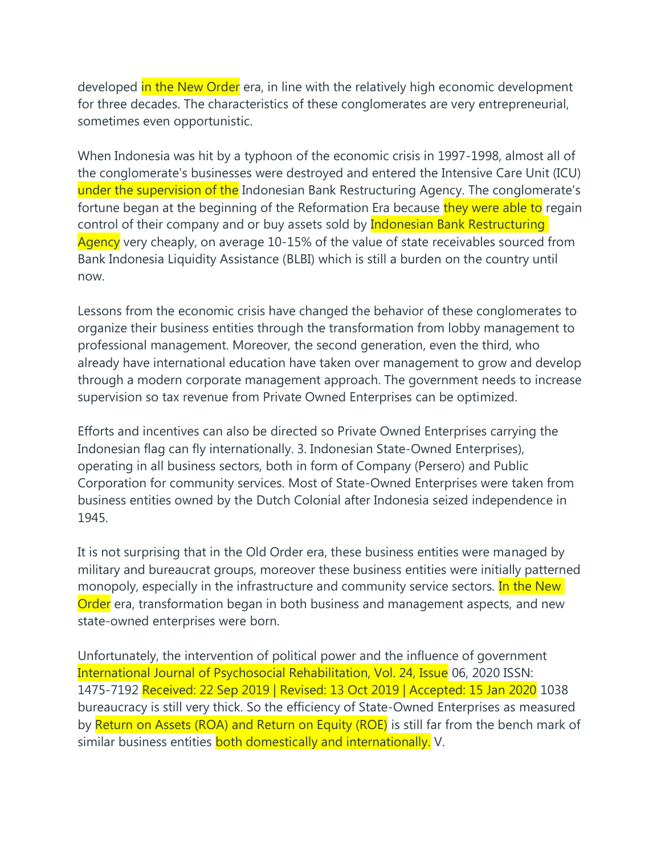developed in the New Order era, in line with the relatively high economic development for three decades. The characteristics of these conglomerates are very entrepreneurial, sometimes even opportunistic.

When Indonesia was hit by a typhoon of the economic crisis in 1997-1998, almost all of the conglomerate's businesses were destroyed and entered the Intensive Care Unit (ICU) under the supervision of the Indonesian Bank Restructuring Agency. The conglomerate's fortune began at the beginning of the Reformation Era because they were able to regain control of their company and or buy assets sold by **Indonesian Bank Restructuring** Agency very cheaply, on average 10-15% of the value of state receivables sourced from Bank Indonesia Liquidity Assistance (BLBI) which is still a burden on the country until now.

Lessons from the economic crisis have changed the behavior of these conglomerates to organize their business entities through the transformation from lobby management to professional management. Moreover, the second generation, even the third, who already have international education have taken over management to grow and develop through a modern corporate management approach. The government needs to increase supervision so tax revenue from Private Owned Enterprises can be optimized.

Efforts and incentives can also be directed so Private Owned Enterprises carrying the Indonesian flag can fly internationally. 3. Indonesian State-Owned Enterprises), operating in all business sectors, both in form of Company (Persero) and Public Corporation for community services. Most of State-Owned Enterprises were taken from business entities owned by the Dutch Colonial after Indonesia seized independence in 1945.

It is not surprising that in the Old Order era, these business entities were managed by military and bureaucrat groups, moreover these business entities were initially patterned monopoly, especially in the infrastructure and community service sectors. In the New Order era, transformation began in both business and management aspects, and new state-owned enterprises were born.

Unfortunately, the intervention of political power and the influence of government International Journal of Psychosocial Rehabilitation, Vol. 24, Issue 06, 2020 ISSN: 1475-7192 Received: 22 Sep 2019 | Revised: 13 Oct 2019 | Accepted: 15 Jan 2020 1038 bureaucracy is still very thick. So the efficiency of State-Owned Enterprises as measured by Return on Assets (ROA) and Return on Equity (ROE) is still far from the bench mark of similar business entities both domestically and internationally. V.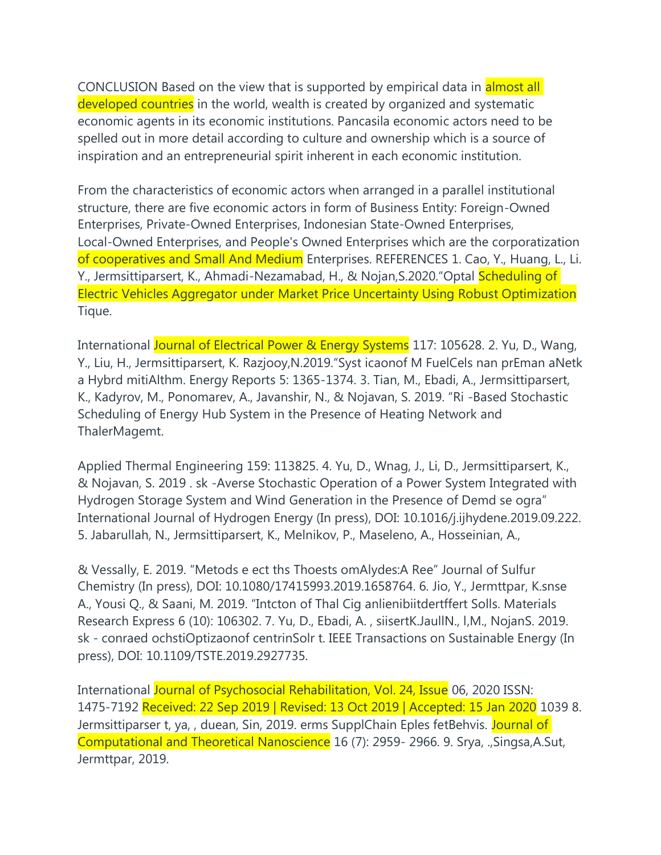CONCLUSION Based on the view that is supported by empirical data in almost all developed countries in the world, wealth is created by organized and systematic economic agents in its economic institutions. Pancasila economic actors need to be spelled out in more detail according to culture and ownership which is a source of inspiration and an entrepreneurial spirit inherent in each economic institution.

From the characteristics of economic actors when arranged in a parallel institutional structure, there are five economic actors in form of Business Entity: Foreign-Owned Enterprises, Private-Owned Enterprises, Indonesian State-Owned Enterprises, Local-Owned Enterprises, and People's Owned Enterprises which are the corporatization of cooperatives and Small And Medium Enterprises. REFERENCES 1. Cao, Y., Huang, L., Li. Y., Jermsittiparsert, K., Ahmadi-Nezamabad, H., & Nojan, S.2020. "Optal Scheduling of Electric Vehicles Aggregator under Market Price Uncertainty Using Robust Optimization Tique.

International Journal of Electrical Power & Energy Systems 117: 105628, 2. Yu, D., Wang, Y., Liu, H., Jermsittiparsert, K. Razjooy,N.2019."Syst icaonof M FuelCels nan prEman aNetk a Hybrd mitiAlthm. Energy Reports 5: 1365-1374. 3. Tian, M., Ebadi, A., Jermsittiparsert, K., Kadyrov, M., Ponomarev, A., Javanshir, N., & Nojavan, S. 2019. "Ri -Based Stochastic Scheduling of Energy Hub System in the Presence of Heating Network and ThalerMagemt.

Applied Thermal Engineering 159: 113825. 4. Yu, D., Wnag, J., Li, D., Jermsittiparsert, K., & Nojavan, S. 2019 . sk -Averse Stochastic Operation of a Power System Integrated with Hydrogen Storage System and Wind Generation in the Presence of Demd se ogra" International Journal of Hydrogen Energy (In press), DOI: 10.1016/j.ijhydene.2019.09.222. 5. Jabarullah, N., Jermsittiparsert, K., Melnikov, P., Maseleno, A., Hosseinian, A.,

& Vessally, E. 2019. "Metods e ect ths Thoests omAlydes:A Ree" Journal of Sulfur Chemistry (In press), DOI: 10.1080/17415993.2019.1658764. 6. Jio, Y., Jermttpar, K.snse A., Yousi Q., & Saani, M. 2019. "Intcton of Thal Cig anlienibiitdertffert Solls. Materials Research Express 6 (10): 106302. 7. Yu, D., Ebadi, A. , siisertK.JaullN., l,M., NojanS. 2019. sk - conraed ochstiOptizaonof centrinSolr t. IEEE Transactions on Sustainable Energy (In press), DOI: 10.1109/TSTE.2019.2927735.

International Journal of Psychosocial Rehabilitation, Vol. 24, Issue 06, 2020 ISSN: 1475-7192 Received: 22 Sep 2019 | Revised: 13 Oct 2019 | Accepted: 15 Jan 2020 1039 8. Jermsittiparser t, ya, , duean, Sin, 2019. erms SupplChain Eples fetBehvis. Journal of Computational and Theoretical Nanoscience 16 (7): 2959- 2966. 9. Srya, .,Singsa,A.Sut, Jermttpar, 2019.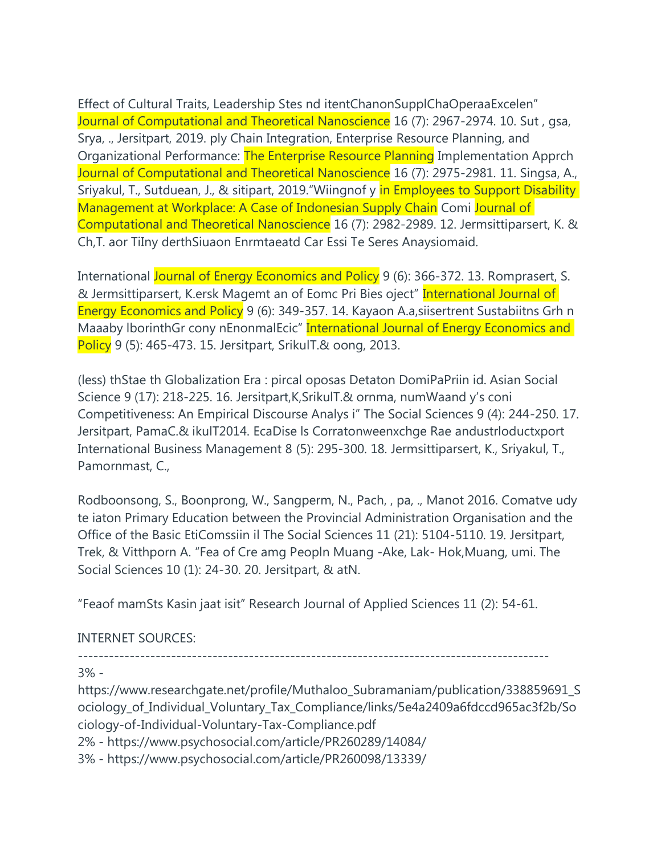Effect of Cultural Traits, Leadership Stes nd itentChanonSupplChaOperaaExcelen" Journal of Computational and Theoretical Nanoscience 16 (7): 2967-2974. 10. Sut, gsa, Srya, ., Jersitpart, 2019. ply Chain Integration, Enterprise Resource Planning, and Organizational Performance: The Enterprise Resource Planning Implementation Apprch Journal of Computational and Theoretical Nanoscience 16 (7): 2975-2981. 11. Singsa, A., Sriyakul, T., Sutduean, J., & sitipart, 2019. "Wiingnof y in Employees to Support Disability Management at Workplace: A Case of Indonesian Supply Chain Comi Journal of Computational and Theoretical Nanoscience 16 (7): 2982-2989. 12. Jermsittiparsert, K. & Ch, T. aor TiIny derthSiuaon Enrmtaeatd Car Essi Te Seres Anaysiomaid.

International Journal of Energy Economics and Policy 9 (6): 366-372. 13. Romprasert, S. & Jermsittiparsert, K.ersk Magemt an of Eomc Pri Bies oject" International Journal of Energy Economics and Policy 9 (6): 349-357. 14. Kayaon A.a, siisertrent Sustabiitns Grh n Maaaby IborinthGr cony nEnonmalEcic" International Journal of Energy Economics and Policy 9 (5): 465-473. 15. Jersitpart, SrikulT.& oong, 2013.

(less) thStae th Globalization Era : pircal oposas Detaton DomiPaPriin id. Asian Social Science 9 (17): 218-225. 16. Jersitpart, K, Srikul T. & ornma, num Waand y's coni Competitiveness: An Empirical Discourse Analys i" The Social Sciences 9 (4): 244-250. 17. Jersitpart, PamaC.& ikulT2014. EcaDise Is Corratonweenxchge Rae andustrloductxport International Business Management 8 (5): 295-300. 18. Jermsittiparsert, K., Sriyakul, T., Pamornmast, C.,

Rodboonsong, S., Boonprong, W., Sangperm, N., Pach, , pa, ., Manot 2016. Comatve udy te iaton Primary Education between the Provincial Administration Organisation and the Office of the Basic EtiComssiin il The Social Sciences 11 (21): 5104-5110. 19. Jersitpart, Trek, & Vitthporn A. "Fea of Cre amg Peopln Muang -Ake, Lak- Hok, Muang, umi. The Social Sciences 10 (1): 24-30. 20. Jersitpart, & atN.

"Feaof mamSts Kasin jaat isit" Research Journal of Applied Sciences 11 (2): 54-61.

## **INTERNET SOURCES:**

 $3% -$ 

https://www.researchgate.net/profile/Muthaloo Subramaniam/publication/338859691 S ociology of Individual Voluntary Tax Compliance/links/5e4a2409a6fdccd965ac3f2b/So ciology-of-Individual-Voluntary-Tax-Compliance.pdf

2% - https://www.psychosocial.com/article/PR260289/14084/

3% - https://www.psychosocial.com/article/PR260098/13339/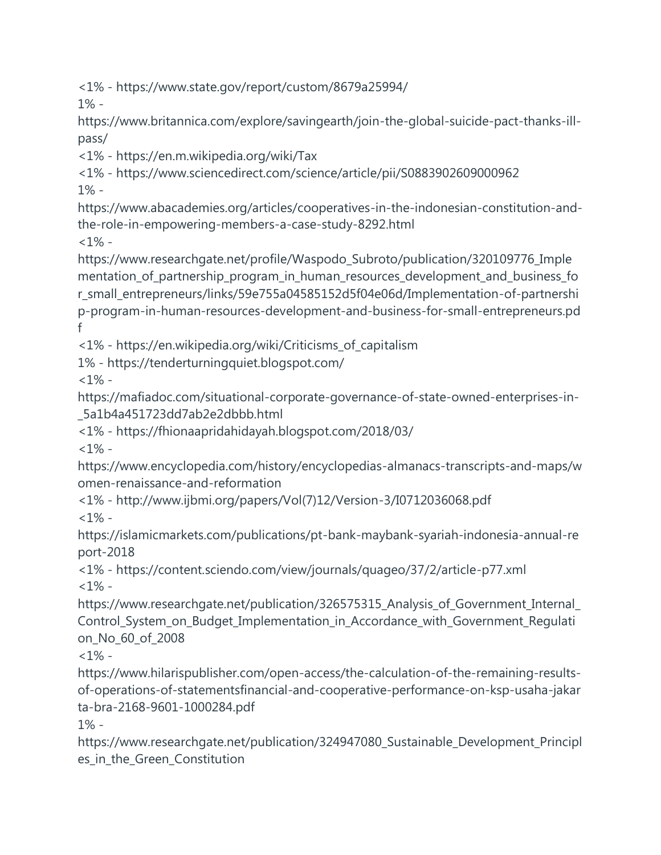<1% - https://www.state.gov/report/custom/8679a25994/

1% -

https://www.britannica.com/explore/savingearth/join-the-global-suicide-pact-thanks-illpass/

<1% - https://en.m.wikipedia.org/wiki/Tax

<1% - https://www.sciencedirect.com/science/article/pii/S0883902609000962

1% -

https://www.abacademies.org/articles/cooperatives-in-the-indonesian-constitution-andthe-role-in-empowering-members-a-case-study-8292.html  $<1\%$  -

https://www.researchgate.net/profile/Waspodo\_Subroto/publication/320109776\_Imple mentation\_of\_partnership\_program\_in\_human\_resources\_development\_and\_business\_fo r\_small\_entrepreneurs/links/59e755a04585152d5f04e06d/Implementation-of-partnershi p-program-in-human-resources-development-and-business-for-small-entrepreneurs.pd f

<1% - https://en.wikipedia.org/wiki/Criticisms\_of\_capitalism

1% - https://tenderturningquiet.blogspot.com/

 $<1\%$  -

https://mafiadoc.com/situational-corporate-governance-of-state-owned-enterprises-in- \_5a1b4a451723dd7ab2e2dbbb.html

<1% - https://fhionaapridahidayah.blogspot.com/2018/03/

 $<1\%$  -

https://www.encyclopedia.com/history/encyclopedias-almanacs-transcripts-and-maps/w omen-renaissance-and-reformation

<1% - http://www.ijbmi.org/papers/Vol(7)12/Version-3/I0712036068.pdf  $<1\%$  -

https://islamicmarkets.com/publications/pt-bank-maybank-syariah-indonesia-annual-re port-2018

<1% - https://content.sciendo.com/view/journals/quageo/37/2/article-p77.xml  $<1\%$  -

https://www.researchgate.net/publication/326575315\_Analysis\_of\_Government\_Internal\_ Control\_System\_on\_Budget\_Implementation\_in\_Accordance\_with\_Government\_Regulati on\_No\_60\_of\_2008

 $<1\%$  -

https://www.hilarispublisher.com/open-access/the-calculation-of-the-remaining-resultsof-operations-of-statementsfinancial-and-cooperative-performance-on-ksp-usaha-jakar ta-bra-2168-9601-1000284.pdf

1% -

https://www.researchgate.net/publication/324947080\_Sustainable\_Development\_Principl es\_in\_the\_Green\_Constitution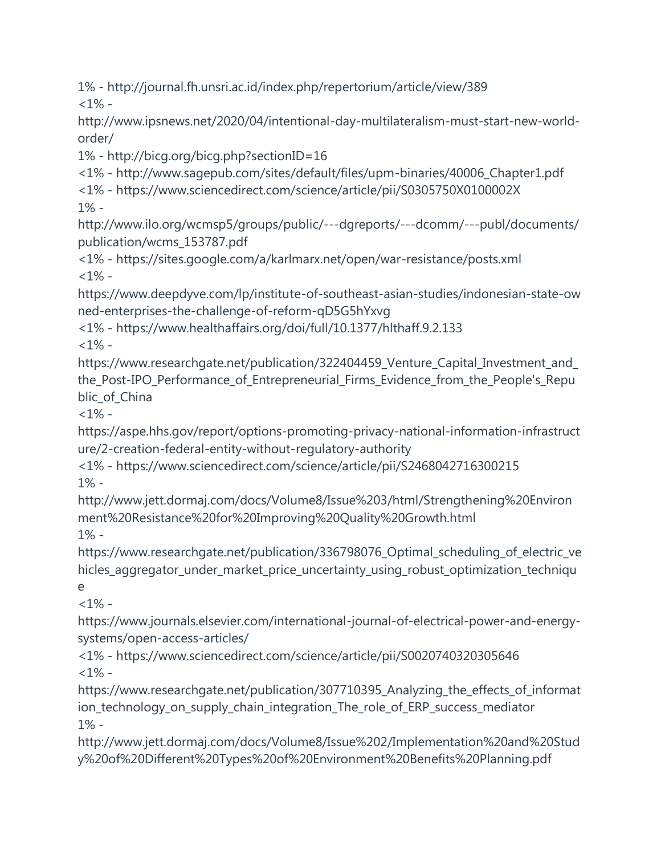1% - http://journal.fh.unsri.ac.id/index.php/repertorium/article/view/389  $<1\%$  -

http://www.ipsnews.net/2020/04/intentional-day-multilateralism-must-start-new-worldorder/

1% - http://bicg.org/bicg.php?sectionID=16

<1% - http://www.sagepub.com/sites/default/files/upm-binaries/40006\_Chapter1.pdf

<1% - https://www.sciencedirect.com/science/article/pii/S0305750X0100002X 1% -

http://www.ilo.org/wcmsp5/groups/public/---dgreports/---dcomm/---publ/documents/ publication/wcms\_153787.pdf

<1% - https://sites.google.com/a/karlmarx.net/open/war-resistance/posts.xml  $<1\%$  -

https://www.deepdyve.com/lp/institute-of-southeast-asian-studies/indonesian-state-ow ned-enterprises-the-challenge-of-reform-qD5G5hYxvg

<1% - https://www.healthaffairs.org/doi/full/10.1377/hlthaff.9.2.133  $<1\%$  -

https://www.researchgate.net/publication/322404459\_Venture\_Capital\_Investment\_and\_ the Post-IPO Performance of Entrepreneurial Firms Evidence from the People's Repu blic\_of\_China

 $<1\%$  -

https://aspe.hhs.gov/report/options-promoting-privacy-national-information-infrastruct ure/2-creation-federal-entity-without-regulatory-authority

<1% - https://www.sciencedirect.com/science/article/pii/S2468042716300215 1% -

http://www.jett.dormaj.com/docs/Volume8/Issue%203/html/Strengthening%20Environ ment%20Resistance%20for%20Improving%20Quality%20Growth.html 1% -

https://www.researchgate.net/publication/336798076\_Optimal\_scheduling\_of\_electric\_ve hicles\_aggregator\_under\_market\_price\_uncertainty\_using\_robust\_optimization\_techniqu e

 $< 1\%$  -

https://www.journals.elsevier.com/international-journal-of-electrical-power-and-energysystems/open-access-articles/

<1% - https://www.sciencedirect.com/science/article/pii/S0020740320305646  $<1\%$  -

https://www.researchgate.net/publication/307710395 Analyzing the effects of informat ion\_technology\_on\_supply\_chain\_integration\_The\_role\_of\_ERP\_success\_mediator 1% -

http://www.jett.dormaj.com/docs/Volume8/Issue%202/Implementation%20and%20Stud y%20of%20Different%20Types%20of%20Environment%20Benefits%20Planning.pdf